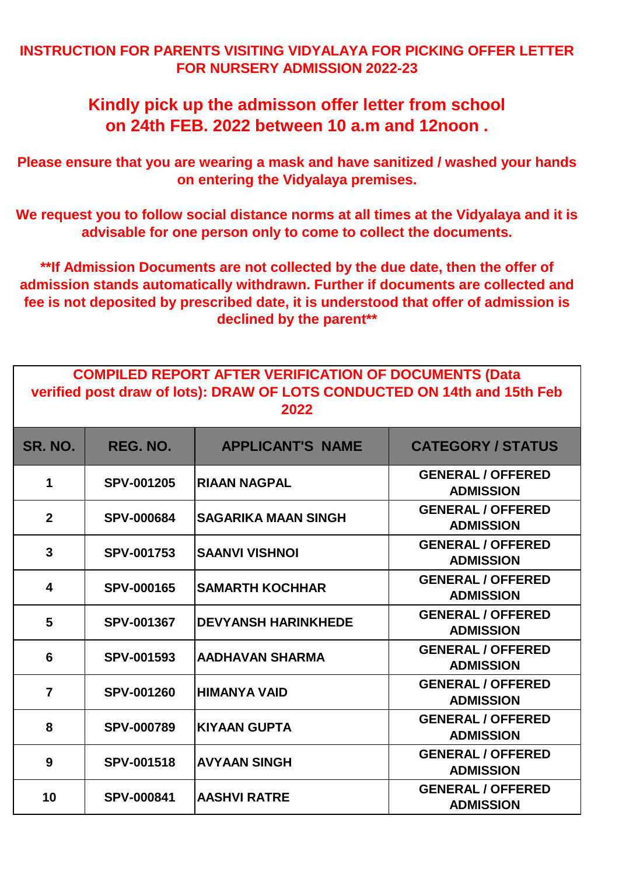## **INSTRUCTION FOR PARENTS VISITING VIDYALAYA FOR PICKING OFFER LETTER FOR NURSERY ADMISSION 2022-23**

## **Kindly pick up the admisson offer letter from school on 24th FEB. 2022 between 10 a.m and 12noon .**

**Please ensure that you are wearing a mask and have sanitized / washed your hands on entering the Vidyalaya premises.**

**We request you to follow social distance norms at all times at the Vidyalaya and it is advisable for one person only to come to collect the documents.**

**\*\*If Admission Documents are not collected by the due date, then the offer of admission stands automatically withdrawn. Further if documents are collected and fee is not deposited by prescribed date, it is understood that offer of admission is declined by the parent\*\***

| <b>COMPILED REPORT AFTER VERIFICATION OF DOCUMENTS (Data</b>             |
|--------------------------------------------------------------------------|
| verified post draw of lots): DRAW OF LOTS CONDUCTED ON 14th and 15th Feb |
| 2022                                                                     |

| <b>SR. NO.</b> | REG. NO.          | <b>APPLICANT'S NAME</b>    | <b>CATEGORY / STATUS</b>                     |
|----------------|-------------------|----------------------------|----------------------------------------------|
| 1              | <b>SPV-001205</b> | <b>RIAAN NAGPAL</b>        | <b>GENERAL / OFFERED</b><br><b>ADMISSION</b> |
| $\mathbf{2}$   | <b>SPV-000684</b> | <b>SAGARIKA MAAN SINGH</b> | <b>GENERAL / OFFERED</b><br><b>ADMISSION</b> |
| 3              | <b>SPV-001753</b> | <b>SAANVI VISHNOI</b>      | <b>GENERAL / OFFERED</b><br><b>ADMISSION</b> |
| 4              | <b>SPV-000165</b> | <b>SAMARTH KOCHHAR</b>     | <b>GENERAL / OFFERED</b><br><b>ADMISSION</b> |
| 5              | <b>SPV-001367</b> | <b>DEVYANSH HARINKHEDE</b> | <b>GENERAL / OFFERED</b><br><b>ADMISSION</b> |
| 6              | <b>SPV-001593</b> | <b>AADHAVAN SHARMA</b>     | <b>GENERAL / OFFERED</b><br><b>ADMISSION</b> |
| $\overline{7}$ | <b>SPV-001260</b> | <b>HIMANYA VAID</b>        | <b>GENERAL / OFFERED</b><br><b>ADMISSION</b> |
| 8              | <b>SPV-000789</b> | <b>KIYAAN GUPTA</b>        | <b>GENERAL / OFFERED</b><br><b>ADMISSION</b> |
| 9              | <b>SPV-001518</b> | <b>AVYAAN SINGH</b>        | <b>GENERAL / OFFERED</b><br><b>ADMISSION</b> |
| 10             | <b>SPV-000841</b> | <b>AASHVI RATRE</b>        | <b>GENERAL / OFFERED</b><br><b>ADMISSION</b> |